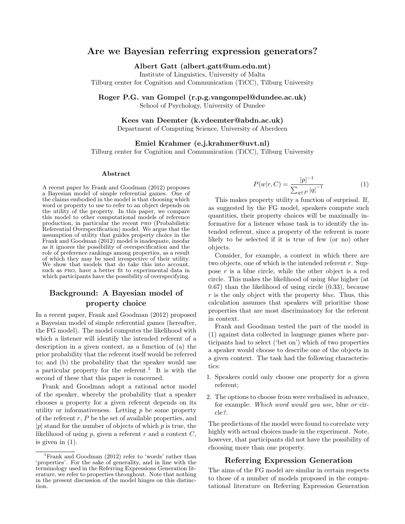# Are we Bayesian referring expression generators?

Albert Gatt (albert.gatt@um.edu.mt)

Institute of Linguistics, University of Malta Tilburg center for Cognition and Communication (TiCC), Tilburg University

Roger P.G. van Gompel (r.p.g.vangompel@dundee.ac.uk)

School of Psychology, University of Dundee

Kees van Deemter (k.vdeemter@abdn.ac.uk)

Department of Computing Science, University of Aberdeen

Emiel Krahmer (e.j.krahmer@uvt.nl)

Tilburg center for Cognition and Communication (TiCC), Tilburg University

#### Abstract

A recent paper by Frank and Goodman (2012) proposes a Bayesian model of simple referential games. One of the claims embodied in the model is that choosing which word or property to use to refer to an object depends on the utility of the property. In this paper, we compare this model to other computational models of reference production, in particular the recent pro (Probabilistic Referential Overspecification) model. We argue that the assumption of utility that guides property choice in the Frank and Goodman (2012) model is inadequate, insofar as it ignores the possibility of overspecification and the role of preference rankings among properties, as a result of which they may be used irrespective of their utility. We show that models that do take this into account, such as pro, have a better fit to experimental data in which participants have the possibility of overspecifying.

# Background: A Bayesian model of property choice

In a recent paper, Frank and Goodman (2012) proposed a Bayesian model of simple referential games (hereafter, the FG model). The model computes the likelihood with which a listener will identify the intended referent of a description in a given context, as a function of (a) the prior probability that the referent itself would be referred to; and (b) the probability that the speaker would use a particular property for the referent.<sup>1</sup> It is with the second of these that this paper is concerned.

Frank and Goodman adopt a rational actor model of the speaker, whereby the probability that a speaker chooses a property for a given referent depends on its utility or informativeness. Letting  $p$  be some property of the referent  $r, P$  be the set of available properties, and  $|p|$  stand for the number of objects of which p is true, the likelihood of using  $p$ , given a referent  $r$  and a context  $C$ , is given in (1).

$$
P(w|r, C) = \frac{|p|^{-1}}{\sum_{q \in P} |q|^{-1}} \tag{1}
$$

This makes property utility a function of surprisal. If, as suggested by the FG model, speakers compute such quantities, their property choices will be maximally informative for a listener whose task is to identify the intended referent, since a property of the referent is more likely to be selected if it is true of few (or no) other objects.

Consider, for example, a context in which there are two objects, one of which is the intended referent r. Suppose r is a blue circle, while the other object is a red circle. This makes the likelihood of using blue higher (at 0.67) than the likelihood of using circle (0.33), because  $r$  is the only object with the property *blue*. Thus, this calculation assumes that speakers will prioritise those properties that are most discriminatory for the referent in context.

Frank and Goodman tested the part of the model in (1) against data collected in language games where participants had to select ('bet on') which of two properties a speaker would choose to describe one of the objects in a given context. The task had the following characteristics:

- 1. Speakers could only choose one property for a given referent;
- 2. The options to choose from were verbalised in advance, for example: Which word would you use, blue or circle?.

The predictions of the model were found to correlate very highly with actual choices made in the experiment. Note, however, that participants did not have the possibility of choosing more than one property.

#### Referring Expression Generation

The aims of the FG model are similar in certain respects to those of a number of models proposed in the computational literature on Referring Expression Generation

<sup>1</sup>Frank and Goodman (2012) refer to 'words' rather than 'properties'. For the sake of generality, and in line with the terminology used in the Referring Expressions Generation literature, we refer to properties throughout. Note that nothing in the present discussion of the model hinges on this distinction.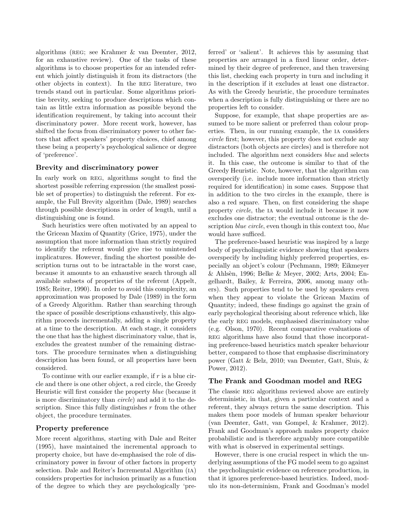algorithms (reg; see Krahmer & van Deemter, 2012, for an exhaustive review). One of the tasks of these algorithms is to choose properties for an intended referent which jointly distinguish it from its distractors (the other objects in context). In the reg literature, two trends stand out in particular. Some algorithms prioritise brevity, seeking to produce descriptions which contain as little extra information as possible beyond the identification requirement, by taking into account their discriminatory power. More recent work, however, has shifted the focus from discriminatory power to other factors that affect speakers' property choices, chief among these being a property's psychological salience or degree of 'preference'.

#### Brevity and discriminatory power

In early work on REG, algorithms sought to find the shortest possible referring expression (the smallest possible set of properties) to distinguish the referent. For example, the Full Brevity algorithm (Dale, 1989) searches through possible descriptions in order of length, until a distinguishing one is found.

Such heuristics were often motivated by an appeal to the Gricean Maxim of Quantity (Grice, 1975), under the assumption that more information than strictly required to identify the referent would give rise to unintended implicatures. However, finding the shortest possible description turns out to be intractable in the worst case, because it amounts to an exhaustive search through all available subsets of properties of the referent (Appelt, 1985; Reiter, 1990). In order to avoid this complexity, an approximation was proposed by Dale (1989) in the form of a Greedy Algorithm. Rather than searching through the space of possible descriptions exhaustively, this algorithm proceeds incrementally, adding a single property at a time to the description. At each stage, it considers the one that has the highest discriminatory value, that is, excludes the greatest number of the remaining distractors. The procedure terminates when a distinguishing description has been found, or all properties have been considered.

To continue with our earlier example, if  $r$  is a blue circle and there is one other object, a red circle, the Greedy Heuristic will first consider the property blue (because it is more discriminatory than circle) and add it to the description. Since this fully distinguishes  $r$  from the other object, the procedure terminates.

#### Property preference

More recent algorithms, starting with Dale and Reiter (1995), have maintained the incremental approach to property choice, but have de-emphasised the role of discriminatory power in favour of other factors in property selection. Dale and Reiter's Incremental Algorithm (ia) considers properties for inclusion primarily as a function of the degree to which they are psychologically 'preferred' or 'salient'. It achieves this by assuming that properties are arranged in a fixed linear order, determined by their degree of preference, and then traversing this list, checking each property in turn and including it in the description if it excludes at least one distractor. As with the Greedy heuristic, the procedure terminates when a description is fully distinguishing or there are no properties left to consider.

Suppose, for example, that shape properties are assumed to be more salient or preferred than colour properties. Then, in our running example, the ia considers circle first; however, this property does not exclude any distractors (both objects are circles) and is therefore not included. The algorithm next considers blue and selects it. In this case, the outcome is similar to that of the Greedy Heuristic. Note, however, that the algorithm can overspecify (i.e. include more information than strictly required for identification) in some cases. Suppose that in addition to the two circles in the example, there is also a red square. Then, on first considering the shape property circle, the ia would include it because it now excludes one distractor; the eventual outcome is the description *blue circle*, even though in this context too, *blue* would have sufficed.

The preference-based heuristic was inspired by a large body of psycholinguistic evidence showing that speakers overspecify by including highly preferred properties, especially an object's colour (Pechmann, 1989; Eikmeyer & Ahls`en, 1996; Belke & Meyer, 2002; Arts, 2004; Engelhardt, Bailey, & Ferreira, 2006, among many others). Such properties tend to be used by speakers even when they appear to violate the Gricean Maxim of Quantity; indeed, these findings go against the grain of early psychological theorising about reference which, like the early REG models, emphasised discriminatory value (e.g. Olson, 1970). Recent comparative evaluations of reg algorithms have also found that those incorporating preference-based heuristics match speaker behaviour better, compared to those that emphasise discriminatory power (Gatt & Belz, 2010; van Deemter, Gatt, Sluis, & Power, 2012).

#### The Frank and Goodman model and REG

The classic REG algorithms reviewed above are entirely deterministic, in that, given a particular context and a referent, they always return the same description. This makes them poor models of human speaker behaviour (van Deemter, Gatt, van Gompel, & Krahmer, 2012). Frank and Goodman's approach makes property choice probabilistic and is therefore arguably more compatible with what is observed in experimental settings.

However, there is one crucial respect in which the underlying assumptions of the FG model seem to go against the psycholinguistic evidence on reference production, in that it ignores preference-based heuristics. Indeed, modulo its non-determinism, Frank and Goodman's model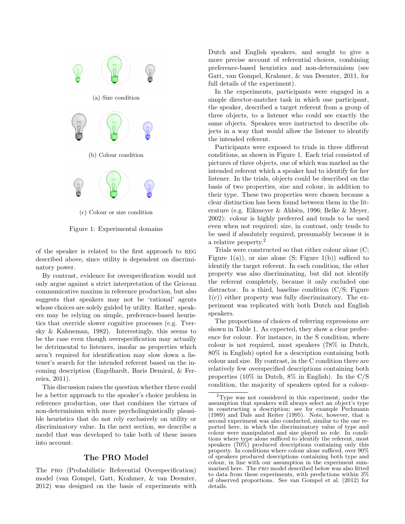

(c) Colour or size condition

Figure 1: Experimental domains

of the speaker is related to the first approach to reg described above, since utility is dependent on discriminatory power.

By contrast, evidence for overspecification would not only argue against a strict interpretation of the Gricean communicative maxims in reference production, but also suggests that speakers may not be 'rational' agents whose choices are solely guided by utility. Rather, speakers may be relying on simple, preference-based heuristics that override slower cognitive processes (e.g. Tversky & Kahneman, 1982). Interestingly, this seems to be the case even though overspecification may actually be detrimental to listeners, insofar as properties which aren't required for identification may slow down a listener's search for the intended referent based on the incoming description (Engelhardt, Baris Demiral, & Ferreira, 2011).

This discussion raises the question whether there could be a better approach to the speaker's choice problem in reference production, one that combines the virtues of non-determinism with more psycholinguistically plausible heuristics that do not rely exclusively on utility or discriminatory value. In the next section, we describe a model that was developed to take both of these issues into account.

## The PRO Model

The pro (Probabilistic Referential Overspecification) model (van Gompel, Gatt, Krahmer, & van Deemter, 2012) was designed on the basis of experiments with Dutch and English speakers, and sought to give a more precise account of referential choices, combining preference-based heuristics and non-determinism (see Gatt, van Gompel, Krahmer, & van Deemter, 2011, for full details of the experiment).

In the experiments, participants were engaged in a simple director-matcher task in which one participant, the speaker, described a target referent from a group of three objects, to a listener who could see exactly the same objects. Speakers were instructed to describe objects in a way that would allow the listener to identify the intended referent.

Participants were exposed to trials in three different conditions, as shown in Figure 1. Each trial consisted of pictures of three objects, one of which was marked as the intended referent which a speaker had to identify for her listener. In the trials, objects could be described on the basis of two properties, size and colour, in addition to their type. These two properties were chosen because a clear distinction has been found between them in the literature (e.g. Eikmeyer  $\&$  Ahlsèn, 1996; Belke  $\&$  Meyer, 2002): colour is highly preferred and tends to be used even when not required; size, in contrast, only tends to be used if absolutely required, presumably because it is a relative property.<sup>2</sup>

Trials were constructed so that either colour alone (C; Figure 1(a)), or size alone (S; Figure 1(b)) sufficed to identify the target referent. In each condition, the other property was also discriminating, but did not identify the referent completely, because it only excluded one distractor. In a third, baseline condition (C/S; Figure  $1(c)$ ) either property was fully discriminatory. The experiment was replicated with both Dutch and English speakers.

The proportions of choices of referring expressions are shown in Table 1. As expected, they show a clear preference for colour. For instance, in the S condition, where colour is not required, most speakers (78% in Dutch, 80% in English) opted for a description containing both colour and size. By contrast, in the C condition there are relatively few overspecified descriptions containing both properties (10% in Dutch, 8% in English). In the C/S condition, the majority of speakers opted for a colour-

<sup>2</sup>Type was not considered in this experiment, under the assumption that speakers will always select an object's type in constructing a description; see for example Pechmann (1989) and Dale and Reiter (1995). Note, however, that a second experiment was also conducted, similar to the one reported here, in which the discriminatory value of type and colour were manipulated and size played no role. In conditions where type alone sufficed to identify the referent, most speakers (70%) produced descriptions containing only this property. In conditions where colour alone sufficed, over 90% of speakers produced descriptions containing both type and colour, in line with our assumption in the experiment summarised here. The pro model described below was also fitted to data from these experiments, with predictions within 3% of observed proportions. See van Gompel et al. (2012) for details.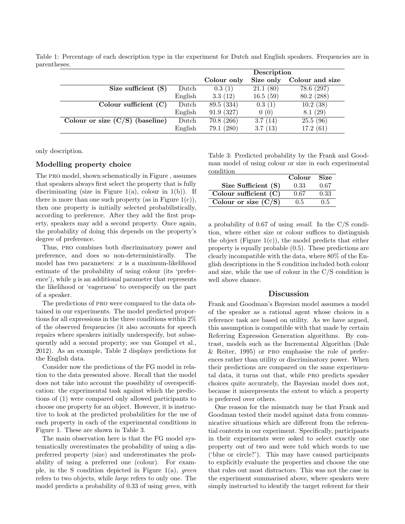|                                      |         | Description |           |                 |
|--------------------------------------|---------|-------------|-----------|-----------------|
|                                      |         | Colour only | Size only | Colour and size |
| Size sufficient $(S)$                | Dutch   | 0.3(1)      | 21.1(80)  | 78.6 (297)      |
|                                      | English | 3.3(12)     | 16.5(59)  | 80.2 (288)      |
| Colour sufficient $(C)$              | Dutch   | 89.5 (334)  | 0.3(1)    | 10.2(38)        |
|                                      | English | 91.9(327)   | 0(0)      | 8.1(29)         |
| Colour or size $(C/S)$<br>(baseline) | Dutch   | 70.8(266)   | 3.7(14)   | 25.5(96)        |
|                                      | English | 79.1 (280)  | 3.7(13)   | 17.2(61)        |

Table 1: Percentage of each description type in the experiment for Dutch and English speakers. Frequencies are in parentheses.

only description.

### Modelling property choice

The pro model, shown schematically in Figure , assumes that speakers always first select the property that is fully discriminating (size in Figure 1(a), colour in 1(b)). If there is more than one such property (as in Figure  $1(c)$ ), then one property is initially selected probabilistically, according to preference. After they add the first property, speakers may add a second property. Once again, the probability of doing this depends on the property's degree of preference.

Thus, PRO combines both discriminatory power and preference, and does so non-deterministically. The model has two parameters:  $x$  is a maximum-likelihood estimate of the probability of using colour (its 'preference'), while  $y$  is an additional parameter that represents the likelihood or 'eagerness' to overspecify on the part of a speaker.

The predictions of pro were compared to the data obtained in our experiments. The model predicted proportions for all expressions in the three conditions within 2% of the observed frequencies (it also accounts for speech repairs where speakers initially underspecify, but subsequently add a second property; see van Gompel et al., 2012). As an example, Table 2 displays predictions for the English data.

Consider now the predictions of the FG model in relation to the data presented above. Recall that the model does not take into account the possibility of overspecification: the experimental task against which the predictions of (1) were compared only allowed participants to choose one property for an object. However, it is instructive to look at the predicted probabilities for the use of each property in each of the experimental conditions in Figure 1. These are shown in Table 3.

The main observation here is that the FG model systematically overestimates the probability of using a dispreferred property (size) and underestimates the probability of using a preferred one (colour). For example, in the S condition depicted in Figure 1(a), green refers to two objects, while large refers to only one. The model predicts a probability of 0.33 of using green, with

Table 3: Predicted probability by the Frank and Goodman model of using colour or size in each experimental condition

|                         | Colour | Size |
|-------------------------|--------|------|
| Size Sufficient (S)     | 0.33   | 0.67 |
| Colour sufficient $(C)$ | 0.67   | 0.33 |
| Colour or size $(C/S)$  | 0.5    | 0.5  |

a probability of 0.67 of using small. In the C/S condition, where either size or colour suffices to distinguish the object (Figure  $1(c)$ ), the model predicts that either property is equally probable (0.5). These predictions are clearly incompatible with the data, where 80% of the English descriptions in the S condition included both colour and size, while the use of colour in the C/S condition is well above chance.

### Discussion

Frank and Goodman's Bayesian model assumes a model of the speaker as a rational agent whose choices in a reference task are based on utility. As we have argued, this assumption is compatible with that made by certain Referring Expression Generation algorithms. By contrast, models such as the Incremental Algorithm (Dale & Reiter, 1995) or pro emphasise the role of preferences rather than utility or discriminatory power. When their predictions are compared on the same experimental data, it turns out that, while pro predicts speaker choices quite accurately, the Bayesian model does not, because it misrepresents the extent to which a property is preferred over others.

One reason for the mismatch may be that Frank and Goodman tested their model against data from communicative situations which are different from the referential contexts in our experiment. Specifically, participants in their experiments were asked to select exactly one property out of two and were told which words to use ('blue or circle?'). This may have caused participants to explicitly evaluate the properties and choose the one that rules out most distractors. This was not the case in the experiment summarised above, where speakers were simply instructed to identify the target referent for their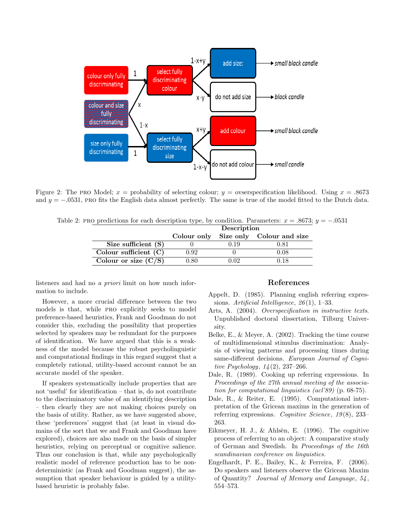

Figure 2: The PRO Model;  $x =$  probability of selecting colour;  $y =$  ovserspecification likelihood. Using  $x = .8673$ and  $y = -0.0531$ , PRO fits the English data almost perfectly. The same is true of the model fitted to the Dutch data.

Table 2: PRO predictions for each description type, by condition. Parameters:  $x = .8673$ ;  $y = -.0531$ 

|                         | Description    |           |                           |  |
|-------------------------|----------------|-----------|---------------------------|--|
|                         | Colour only    |           | Size only Colour and size |  |
| Size sufficient $(S)$   |                | $-0.19 -$ | 0.81                      |  |
| Colour sufficient $(C)$ | O 92           |           | 0.08                      |  |
| Colour or size $(C/S)$  | $9.80^{\circ}$ |           | 0.18                      |  |

listeners and had no a priori limit on how much information to include.

However, a more crucial difference between the two models is that, while pro explicitly seeks to model preference-based heuristics, Frank and Goodman do not consider this, excluding the possibility that properties selected by speakers may be redundant for the purposes of identification. We have argued that this is a weakness of the model because the robust psycholinguistic and computational findings in this regard suggest that a completely rational, utility-based account cannot be an accurate model of the speaker.

If speakers systematically include properties that are not 'useful' for identification – that is, do not contribute to the discriminatory value of an identifying description – then clearly they are not making choices purely on the basis of utility. Rather, as we have suggested above, these 'preferences' suggest that (at least in visual domains of the sort that we and Frank and Goodman have explored), choices are also made on the basis of simpler heuristics, relying on perceptual or cognitive salience. Thus our conclusion is that, while any psychologically realistic model of reference production has to be nondeterministic (as Frank and Goodman suggest), the assumption that speaker behaviour is guided by a utilitybased heuristic is probably false.

#### References

- Appelt, D. (1985). Planning english referring expressions. Artificial Intelligence,  $26(1)$ , 1–33.
- Arts, A. (2004). Overspecification in instructive texts. Unpublished doctoral dissertation, Tilburg University.
- Belke, E., & Meyer, A. (2002). Tracking the time course of multidimensional stimulus discrimination: Analysis of viewing patterns and processing times during same-different decisions. European Journal of Cognitive Psychology,  $14(2)$ , 237–266.
- Dale, R. (1989). Cooking up referring expressions. In Proceedings of the 27th annual meeting of the association for computational linguistics (acl'89) (p. 68-75).
- Dale, R., & Reiter, E. (1995). Computational interpretation of the Gricean maxims in the generation of referring expressions. Cognitive Science,  $19(8)$ , 233– 263.
- Eikmeyer, H. J.,  $\&$  Ahlsèn, E. (1996). The cognitive process of referring to an object: A comparative study of German and Swedish. In Proceedings of the 16th scandinavian conference on linguistics.
- Engelhardt, P. E., Bailey, K., & Ferreira, F. (2006). Do speakers and listeners observe the Gricean Maxim of Quantity? Journal of Memory and Language, 54 , 554–573.